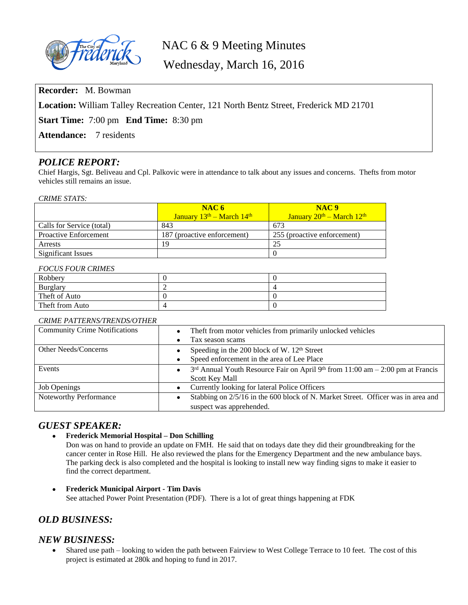

# NAC 6 & 9 Meeting Minutes

Wednesday, March 16, 2016

**Recorder:** M. Bowman

**Location:** William Talley Recreation Center, 121 North Bentz Street, Frederick MD 21701

**Start Time:** 7:00 pm **End Time:** 8:30 pm

Attendance: 7 residents

# *POLICE REPORT:*

Chief Hargis, Sgt. Beliveau and Cpl. Palkovic were in attendance to talk about any issues and concerns. Thefts from motor vehicles still remains an issue.

#### *CRIME STATS:*

|                              | NAC6                          | NAC <sub>9</sub>            |
|------------------------------|-------------------------------|-----------------------------|
|                              | January $13th$ – March $14th$ | January $20th - March 12th$ |
| Calls for Service (total)    | 843                           | 673                         |
| <b>Proactive Enforcement</b> | 187 (proactive enforcement)   | 255 (proactive enforcement) |
| <b>Arrests</b>               | 19                            | 25                          |
| Significant Issues           |                               |                             |

### *FOCUS FOUR CRIMES*

| Robbery         |  |
|-----------------|--|
| Burglary        |  |
| Theft of Auto   |  |
| Theft from Auto |  |

### *CRIME PATTERNS/TRENDS/OTHER*

| <b>Community Crime Notifications</b> | Theft from motor vehicles from primarily unlocked vehicles                                                  |  |
|--------------------------------------|-------------------------------------------------------------------------------------------------------------|--|
|                                      | Tax season scams<br>٠                                                                                       |  |
| Other Needs/Concerns                 | Speeding in the 200 block of W. $12th$ Street                                                               |  |
|                                      | Speed enforcement in the area of Lee Place<br>$\bullet$                                                     |  |
| Events                               | $3rd$ Annual Youth Resource Fair on April 9 <sup>th</sup> from 11:00 am $-$ 2:00 pm at Francis<br>$\bullet$ |  |
|                                      | <b>Scott Key Mall</b>                                                                                       |  |
| <b>Job Openings</b>                  | Currently looking for lateral Police Officers<br>$\bullet$                                                  |  |
| Noteworthy Performance               | Stabbing on 2/5/16 in the 600 block of N. Market Street. Officer was in area and                            |  |
|                                      | suspect was apprehended.                                                                                    |  |

# *GUEST SPEAKER:*

**Frederick Memorial Hospital – Don Schilling**

Don was on hand to provide an update on FMH. He said that on todays date they did their groundbreaking for the cancer center in Rose Hill. He also reviewed the plans for the Emergency Department and the new ambulance bays. The parking deck is also completed and the hospital is looking to install new way finding signs to make it easier to find the correct department.

 **Frederick Municipal Airport - Tim Davis** See attached Power Point Presentation (PDF). There is a lot of great things happening at FDK

# *OLD BUSINESS:*

## *NEW BUSINESS:*

 Shared use path – looking to widen the path between Fairview to West College Terrace to 10 feet. The cost of this project is estimated at 280k and hoping to fund in 2017.